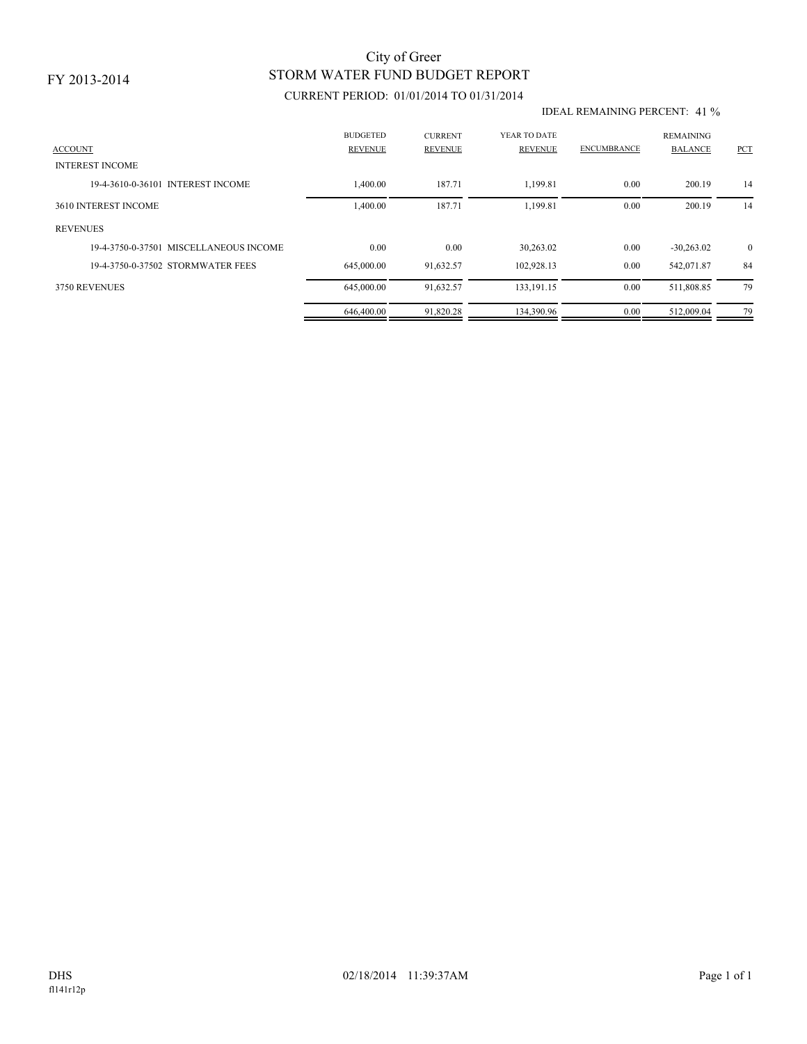# STORM WATER FUND BUDGET REPORT City of Greer

## CURRENT PERIOD: 01/01/2014 TO 01/31/2014

#### IDEAL REMAINING PERCENT: 41 %

| <b>ACCOUNT</b>                         | <b>BUDGETED</b><br><b>REVENUE</b> | <b>CURRENT</b><br><b>REVENUE</b> | YEAR TO DATE<br><b>REVENUE</b> | <b>ENCUMBRANCE</b> | <b>REMAINING</b><br><b>BALANCE</b> | <b>PCT</b>     |
|----------------------------------------|-----------------------------------|----------------------------------|--------------------------------|--------------------|------------------------------------|----------------|
| <b>INTEREST INCOME</b>                 |                                   |                                  |                                |                    |                                    |                |
| 19-4-3610-0-36101 INTEREST INCOME      | 1,400.00                          | 187.71                           | 1,199.81                       | 0.00               | 200.19                             | 14             |
| 3610 INTEREST INCOME                   | 1,400.00                          | 187.71                           | 1,199.81                       | 0.00               | 200.19                             | 14             |
| <b>REVENUES</b>                        |                                   |                                  |                                |                    |                                    |                |
| 19-4-3750-0-37501 MISCELLANEOUS INCOME | 0.00                              | 0.00                             | 30,263.02                      | 0.00               | $-30,263.02$                       | $\overline{0}$ |
| 19-4-3750-0-37502 STORMWATER FEES      | 645,000.00                        | 91,632.57                        | 102,928.13                     | 0.00               | 542,071.87                         | 84             |
| 3750 REVENUES                          | 645,000.00                        | 91,632.57                        | 133, 191. 15                   | 0.00               | 511,808.85                         | 79             |
|                                        | 646,400.00                        | 91,820.28                        | 134,390.96                     | 0.00               | 512,009.04                         | 79             |